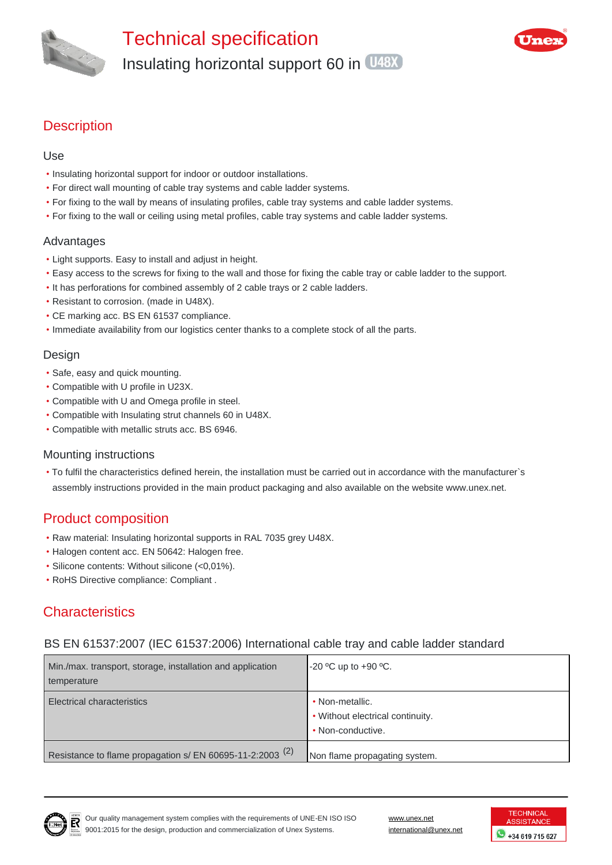



# **Description**

#### Use

- Insulating horizontal support for indoor or outdoor installations.
- For direct wall mounting of cable tray systems and cable ladder systems.
- For fixing to the wall by means of insulating profiles, cable tray systems and cable ladder systems.
- For fixing to the wall or ceiling using metal profiles, cable tray systems and cable ladder systems.

#### Advantages

- Light supports. Easy to install and adjust in height.
- Easy access to the screws for fixing to the wall and those for fixing the cable tray or cable ladder to the support.
- It has perforations for combined assembly of 2 cable trays or 2 cable ladders.
- Resistant to corrosion. (made in U48X).
- CE marking acc. BS EN 61537 compliance.
- Immediate availability from our logistics center thanks to a complete stock of all the parts.

#### Design

- Safe, easy and quick mounting.
- Compatible with U profile in U23X.
- Compatible with U and Omega profile in steel.
- Compatible with Insulating strut channels 60 in U48X.
- Compatible with metallic struts acc. BS 6946.

#### Mounting instructions

• To fulfil the characteristics defined herein, the installation must be carried out in accordance with the manufacturer`s assembly instructions provided in the main product packaging and also available on the website www.unex.net.

### Product composition

- Raw material: Insulating horizontal supports in RAL 7035 grey U48X.
- Halogen content acc. EN 50642: Halogen free.
- Silicone contents: Without silicone (<0,01%).
- RoHS Directive compliance: Compliant .

# **Characteristics**

#### BS EN 61537:2007 (IEC 61537:2006) International cable tray and cable ladder standard

| Min./max. transport, storage, installation and application<br>temperature | $-20$ °C up to $+90$ °C.                                                 |
|---------------------------------------------------------------------------|--------------------------------------------------------------------------|
| <b>Electrical characteristics</b>                                         | • Non-metallic.<br>• Without electrical continuity.<br>• Non-conductive. |
| Resistance to flame propagation s/ EN 60695-11-2:2003 <sup>(2)</sup>      | Non flame propagating system.                                            |



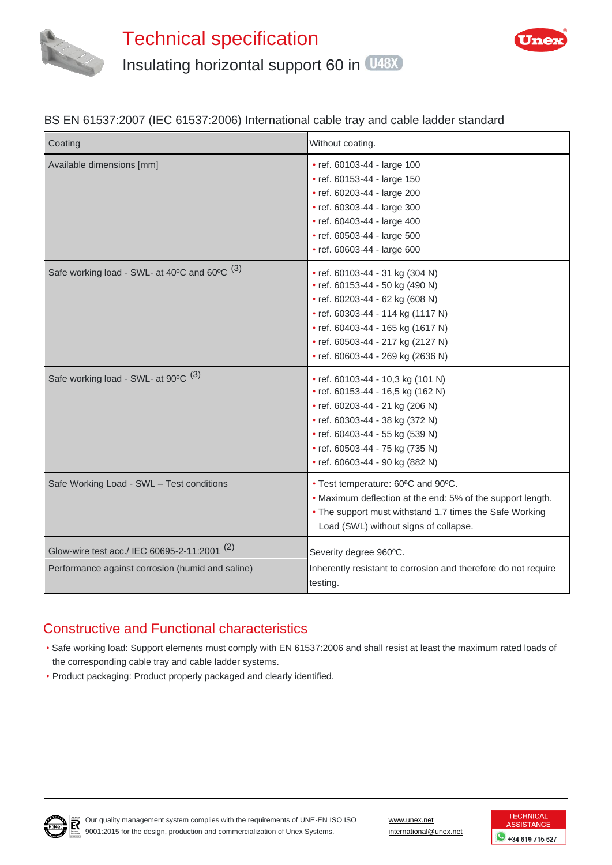



#### BS EN 61537:2007 (IEC 61537:2006) International cable tray and cable ladder standard

| Coating                                                 | Without coating.                                                                                                                                                                                                                                          |
|---------------------------------------------------------|-----------------------------------------------------------------------------------------------------------------------------------------------------------------------------------------------------------------------------------------------------------|
| Available dimensions [mm]                               | • ref. 60103-44 - large 100<br>• ref. 60153-44 - large 150<br>• ref. 60203-44 - large 200<br>• ref. 60303-44 - large 300<br>• ref. 60403-44 - large 400<br>• ref. 60503-44 - large 500<br>• ref. 60603-44 - large 600                                     |
| Safe working load - SWL- at 40°C and 60°C (3)           | • ref. 60103-44 - 31 kg (304 N)<br>• ref. 60153-44 - 50 kg (490 N)<br>• ref. 60203-44 - 62 kg (608 N)<br>• ref. 60303-44 - 114 kg (1117 N)<br>• ref. 60403-44 - 165 kg (1617 N)<br>• ref. 60503-44 - 217 kg (2127 N)<br>• ref. 60603-44 - 269 kg (2636 N) |
| Safe working load - SWL- at 90°C (3)                    | • ref. 60103-44 - 10,3 kg (101 N)<br>• ref. 60153-44 - 16,5 kg (162 N)<br>• ref. 60203-44 - 21 kg (206 N)<br>• ref. 60303-44 - 38 kg (372 N)<br>• ref. 60403-44 - 55 kg (539 N)<br>• ref. 60503-44 - 75 kg (735 N)<br>• ref. 60603-44 - 90 kg (882 N)     |
| Safe Working Load - SWL - Test conditions               | • Test temperature: 60 <sup>a</sup> C and 90°C.<br>• Maximum deflection at the end: 5% of the support length.<br>• The support must withstand 1.7 times the Safe Working<br>Load (SWL) without signs of collapse.                                         |
| Glow-wire test acc./ IEC 60695-2-11:2001 <sup>(2)</sup> | Severity degree 960°C.                                                                                                                                                                                                                                    |
| Performance against corrosion (humid and saline)        | Inherently resistant to corrosion and therefore do not require<br>testing.                                                                                                                                                                                |

# Constructive and Functional characteristics

- Safe working load: Support elements must comply with EN 61537:2006 and shall resist at least the maximum rated loads of the corresponding cable tray and cable ladder systems.
- Product packaging: Product properly packaged and clearly identified.



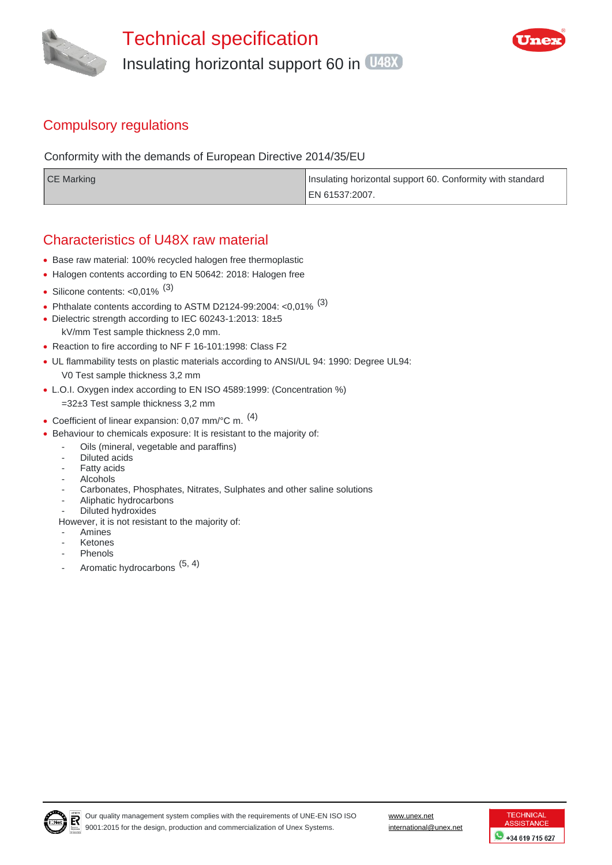



## Compulsory regulations

Conformity with the demands of European Directive 2014/35/EU

| CE Marking | Insulating horizontal support 60. Conformity with standard |
|------------|------------------------------------------------------------|
|            | ¶ EN 61537:2007.                                           |

## Characteristics of U48X raw material

- Base raw material: 100% recycled halogen free thermoplastic
- Halogen contents according to EN 50642: 2018: Halogen free
- Silicone contents:  $< 0.01\%$ <sup>(3)</sup>
- Phthalate contents according to ASTM D2124-99:2004: < $0.01\%$ <sup>(3)</sup>
- Dielectric strength according to IEC 60243-1:2013: 18±5 kV/mm Test sample thickness 2,0 mm.
- Reaction to fire according to NF F 16-101:1998: Class F2
- UL flammability tests on plastic materials according to ANSI/UL 94: 1990: Degree UL94: V0 Test sample thickness 3,2 mm
- L.O.I. Oxygen index according to EN ISO 4589:1999: (Concentration %)
- =32±3 Test sample thickness 3,2 mm
- Coefficient of linear expansion: 0,07 mm/°C m. <sup>(4)</sup>
- Behaviour to chemicals exposure: It is resistant to the majority of:
	- Oils (mineral, vegetable and paraffins)
		- Diluted acids
	- Fatty acids
	- **Alcohols**
	- Carbonates, Phosphates, Nitrates, Sulphates and other saline solutions
	- Aliphatic hydrocarbons
	- Diluted hydroxides
	- However, it is not resistant to the majority of:
	- **Amines**
	- **Ketones**
	- Phenols
	- Aromatic hydrocarbons  $(5, 4)$